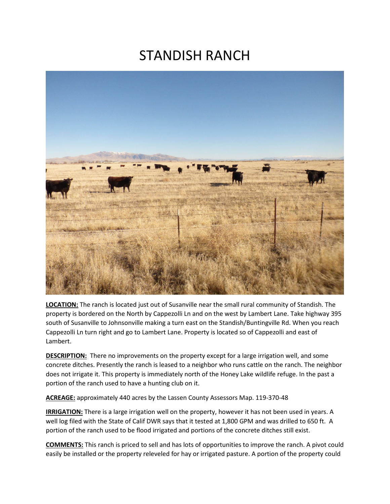# STANDISH RANCH



**LOCATION:** The ranch is located just out of Susanville near the small rural community of Standish. The property is bordered on the North by Cappezolli Ln and on the west by Lambert Lane. Take highway 395 south of Susanville to Johnsonville making a turn east on the Standish/Buntingville Rd. When you reach Cappezolli Ln turn right and go to Lambert Lane. Property is located so of Cappezolli and east of Lambert.

**DESCRIPTION:** There no improvements on the property except for a large irrigation well, and some concrete ditches. Presently the ranch is leased to a neighbor who runs cattle on the ranch. The neighbor does not irrigate it. This property is immediately north of the Honey Lake wildlife refuge. In the past a portion of the ranch used to have a hunting club on it.

**ACREAGE:** approximately 440 acres by the Lassen County Assessors Map. 119-370-48

**IRRIGATION:** There is a large irrigation well on the property, however it has not been used in years. A well log filed with the State of Calif DWR says that it tested at 1,800 GPM and was drilled to 650 ft. A portion of the ranch used to be flood irrigated and portions of the concrete ditches still exist.

**COMMENTS:** This ranch is priced to sell and has lots of opportunities to improve the ranch. A pivot could easily be installed or the property releveled for hay or irrigated pasture. A portion of the property could